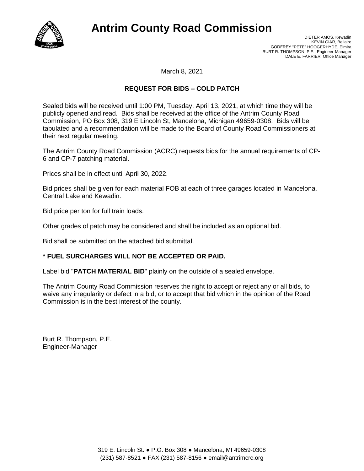

# **Antrim County Road Commission**

March 8, 2021

## **REQUEST FOR BIDS – COLD PATCH**

Sealed bids will be received until 1:00 PM, Tuesday, April 13, 2021, at which time they will be publicly opened and read. Bids shall be received at the office of the Antrim County Road Commission, PO Box 308, 319 E Lincoln St, Mancelona, Michigan 49659-0308. Bids will be tabulated and a recommendation will be made to the Board of County Road Commissioners at their next regular meeting.

The Antrim County Road Commission (ACRC) requests bids for the annual requirements of CP-6 and CP-7 patching material.

Prices shall be in effect until April 30, 2022.

Bid prices shall be given for each material FOB at each of three garages located in Mancelona, Central Lake and Kewadin.

Bid price per ton for full train loads.

Other grades of patch may be considered and shall be included as an optional bid.

Bid shall be submitted on the attached bid submittal.

#### **\* FUEL SURCHARGES WILL NOT BE ACCEPTED OR PAID.**

Label bid "**PATCH MATERIAL BID**" plainly on the outside of a sealed envelope.

The Antrim County Road Commission reserves the right to accept or reject any or all bids, to waive any irregularity or defect in a bid, or to accept that bid which in the opinion of the Road Commission is in the best interest of the county.

Burt R. Thompson, P.E. Engineer-Manager